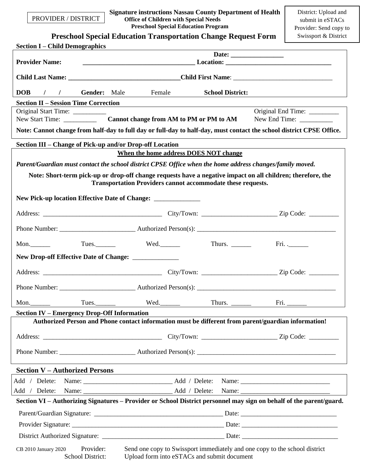PROVIDER / DISTRICT

 **Signature instructions Nassau County Department of Health Office of Children with Special Needs Preschool Special Education Program**

|                                                          | <b>Preschool Special Education Transportation Change Request Form</b>                                                | Swissport & District                                       |
|----------------------------------------------------------|----------------------------------------------------------------------------------------------------------------------|------------------------------------------------------------|
| <b>Section I – Child Demographics</b>                    |                                                                                                                      |                                                            |
| <b>Provider Name:</b>                                    |                                                                                                                      |                                                            |
|                                                          | Child Last Name: ___________________________________Child First Name: ______________________________                 |                                                            |
| <b>DOB</b><br>$\frac{1}{2}$                              | <b>Gender:</b> Male<br>Female<br><b>School District:</b>                                                             |                                                            |
| <b>Section II – Session Time Correction</b>              |                                                                                                                      |                                                            |
|                                                          |                                                                                                                      | Original End Time: _________<br>New End Time: ____________ |
|                                                          | Note: Cannot change from half-day to full day or full-day to half-day, must contact the school district CPSE Office. |                                                            |
| Section III – Change of Pick-up and/or Drop-off Location |                                                                                                                      |                                                            |
|                                                          | When the home address DOES NOT change                                                                                |                                                            |
|                                                          | Parent/Guardian must contact the school district CPSE Office when the home address changes/family moved.             |                                                            |
|                                                          | Note: Short-term pick-up or drop-off change requests have a negative impact on all children; therefore, the          |                                                            |
|                                                          | <b>Transportation Providers cannot accommodate these requests.</b>                                                   |                                                            |
|                                                          | New Pick-up location Effective Date of Change: _______________                                                       |                                                            |
|                                                          |                                                                                                                      |                                                            |
|                                                          |                                                                                                                      |                                                            |
| Mon.                                                     | Thurs. $\frac{1}{\sqrt{1-\frac{1}{2}}\sqrt{1-\frac{1}{2}}\left(\frac{1}{2}-\frac{1}{2}\right)}$                      | Fri. $\frac{1}{2}$                                         |
| New Drop-off Effective Date of Change: ______________    |                                                                                                                      |                                                            |
|                                                          |                                                                                                                      |                                                            |
|                                                          |                                                                                                                      |                                                            |
| Mon.                                                     | Tues. Tues. Wed. Thurs. Fri. Fri.                                                                                    |                                                            |
| <b>Section IV – Emergency Drop-Off Information</b>       |                                                                                                                      |                                                            |
|                                                          | Authorized Person and Phone contact information must be different from parent/guardian information!                  |                                                            |
|                                                          |                                                                                                                      |                                                            |
|                                                          |                                                                                                                      |                                                            |
| <b>Section V-Authorized Persons</b>                      | and the control of the control of the control of the control of the control of the control of the control of the     |                                                            |
|                                                          |                                                                                                                      |                                                            |
|                                                          |                                                                                                                      |                                                            |
|                                                          | Section VI - Authorizing Signatures - Provider or School District personnel may sign on behalf of the parent/guard.  |                                                            |
|                                                          |                                                                                                                      |                                                            |
|                                                          |                                                                                                                      |                                                            |
|                                                          |                                                                                                                      |                                                            |
| Provider:<br>CB 2010 January 2020                        | Send one copy to Swissport immediately and one copy to the school district                                           |                                                            |

School District: Upload form into eSTACs and submit document